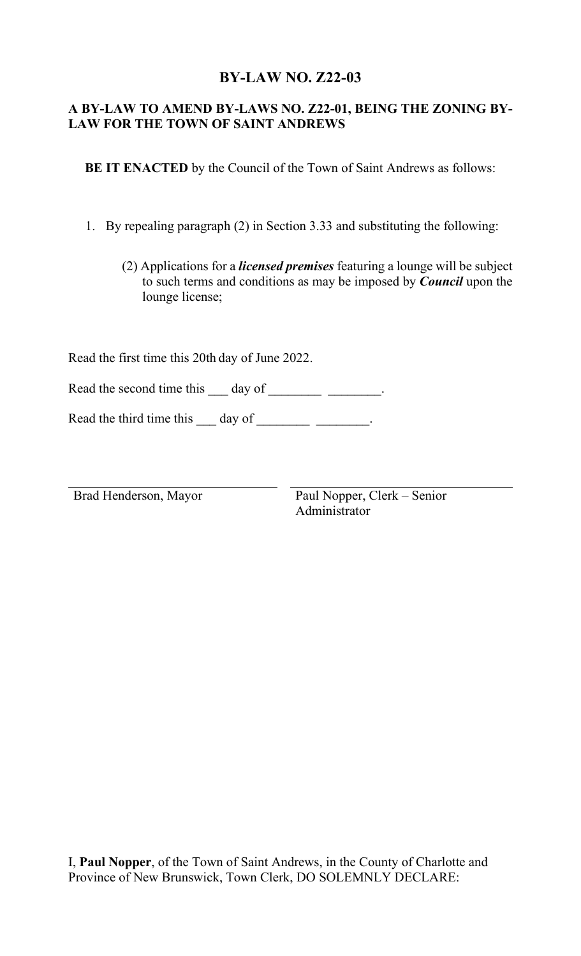## **BY-LAW NO. Z22-03**

## **A BY-LAW TO AMEND BY-LAWS NO. Z22-01, BEING THE ZONING BY-LAW FOR THE TOWN OF SAINT ANDREWS**

 **BE IT ENACTED** by the Council of the Town of Saint Andrews as follows:

1. By repealing paragraph (2) in Section 3.33 and substituting the following:

(2) Applications for a *licensed premises* featuring a lounge will be subject to such terms and conditions as may be imposed by *Council* upon the lounge license;

Read the first time this 20th day of June 2022.

Read the second time this  $\_\_$  day of  $\_\_$ 

Read the third time this  $\_\_\_$  day of  $\_\_\_\_\_\_\_\_\_\_\_\_\_\_\_\_\_\_$ .

Brad Henderson, Mayor Paul Nopper, Clerk – Senior Administrator

I, **Paul Nopper**, of the Town of Saint Andrews, in the County of Charlotte and Province of New Brunswick, Town Clerk, DO SOLEMNLY DECLARE: